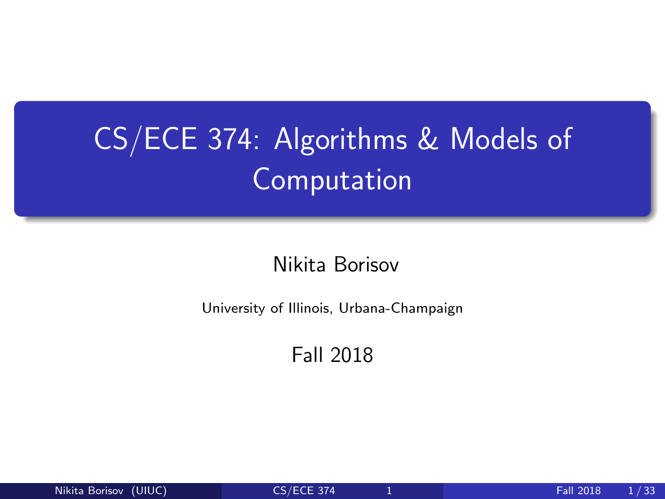## <span id="page-0-0"></span>CS/ECE 374: Algorithms & Models of Computation

Nikita Borisov

University of Illinois, Urbana-Champaign

Fall 2018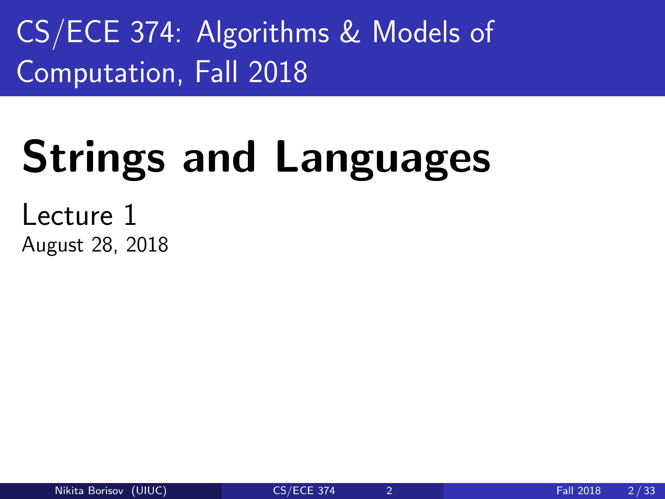CS/ECE 374: Algorithms & Models of Computation, Fall 2018

# Strings and Languages

Lecture 1 August 28, 2018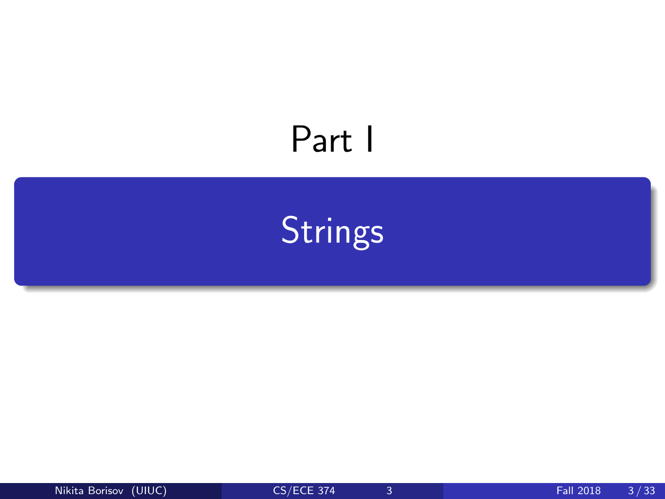## <span id="page-2-0"></span>Part I

**[Strings](#page-2-0)** 

Nikita Borisov (UIUC) [CS/ECE 374](#page-0-0) 3 Fall 2018 3/33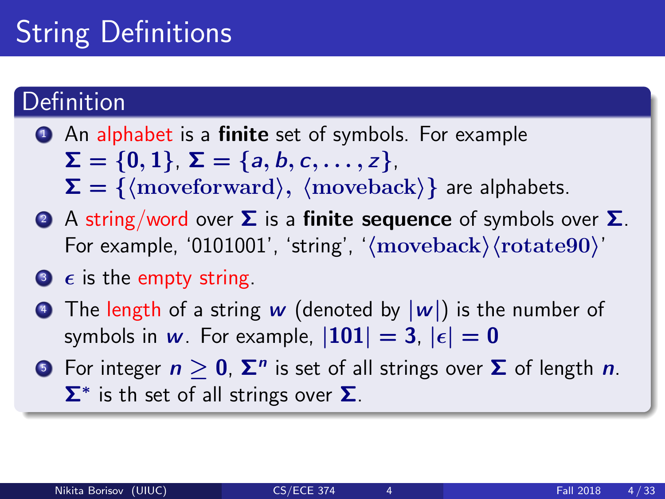## String Definitions

#### Definition

- **1** An alphabet is a **finite** set of symbols. For example  $\Sigma = \{0, 1\}, \Sigma = \{a, b, c, \ldots, z\},\$  $\Sigma = \{$  (moveforward),  $\langle$  moveback) are alphabets.
- 2 A string/word over  $\Sigma$  is a finite sequence of symbols over  $\Sigma$ . For example, '0101001', 'string', ' $\langle$ moveback $\rangle$  $\langle$ rotate90 $\rangle'$
- $\bullet$   $\epsilon$  is the empty string.
- **•** The length of a string w (denoted by  $|w|$ ) is the number of symbols in w. For example,  $|101| = 3$ ,  $|\epsilon| = 0$
- 5 For integer  $n\geq 0$ ,  $\mathbf{\Sigma}^n$  is set of all strings over  $\mathbf \Sigma$  of length  $n.$  $\Sigma^*$  is th set of all strings over  $\Sigma$ .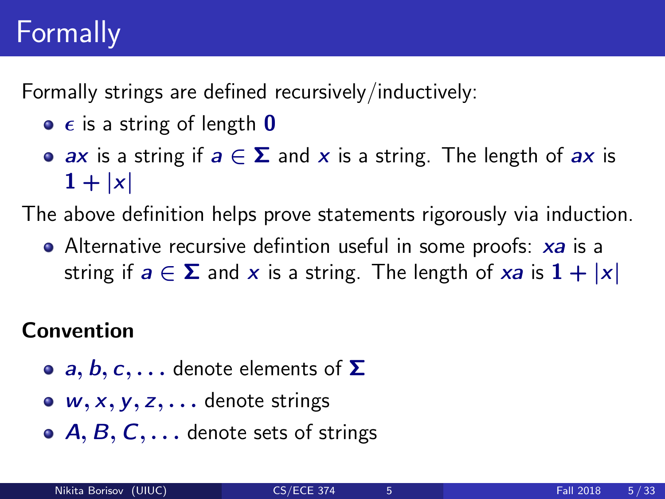## Formally

Formally strings are defined recursively/inductively:

- $\bullet$   $\epsilon$  is a string of length **0**
- ax is a string if  $a \in \Sigma$  and x is a string. The length of ax is  $1 + |x|$

The above definition helps prove statements rigorously via induction.

• Alternative recursive defintion useful in some proofs: xa is a string if  $a \in \Sigma$  and x is a string. The length of xa is  $1 + |x|$ 

#### Convention

- **a, b, c,...** denote elements of  $\Sigma$
- $\bullet$  w, x, y, z,  $\bullet$  denote strings
- $\bullet$  A, B, C,  $\dots$  denote sets of strings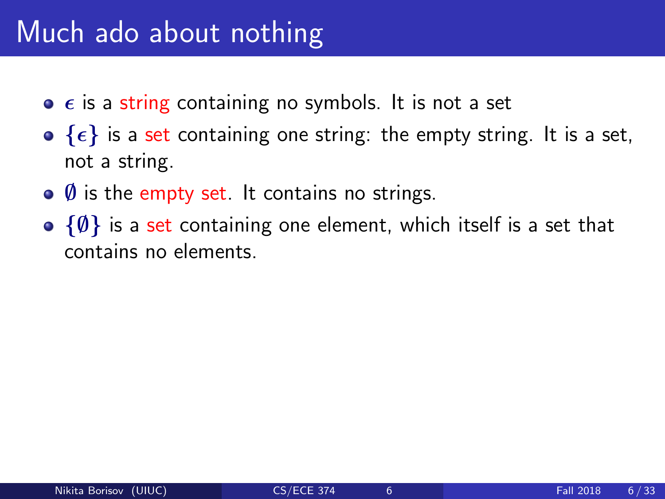### Much ado about nothing

- $\bullet$   $\epsilon$  is a string containing no symbols. It is not a set
- $\bullet$  { $\epsilon$ } is a set containing one string: the empty string. It is a set, not a string.
- $\bullet$  Ø is the empty set. It contains no strings.
- $\{\emptyset\}$  is a set containing one element, which itself is a set that contains no elements.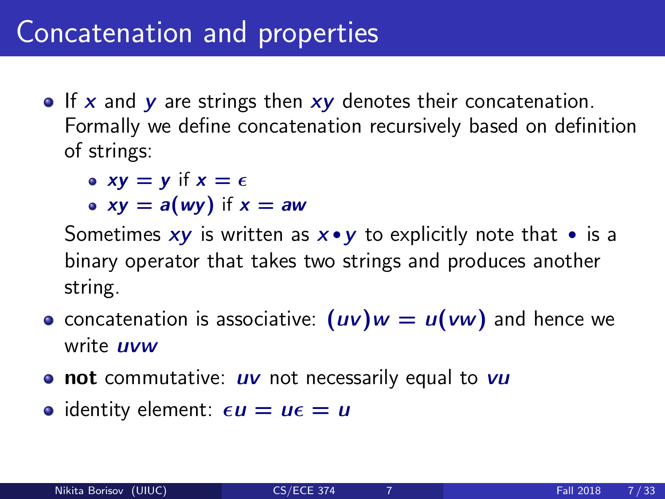### Concatenation and properties

 $\bullet$  If x and y are strings then  $xy$  denotes their concatenation. Formally we define concatenation recursively based on definition of strings:

• 
$$
xy = y
$$
 if  $x = \epsilon$ 

• 
$$
xy = a(wy)
$$
 if  $x = aw$ 

Sometimes  $xy$  is written as  $x \cdot y$  to explicitly note that  $\cdot$  is a binary operator that takes two strings and produces another string.

- concatenation is associative:  $(uv)w = u(vw)$  and hence we write **uvw**
- $\bullet$  not commutative:  $uv$  not necessarily equal to  $vu$
- identity element:  $\epsilon u = u\epsilon = u$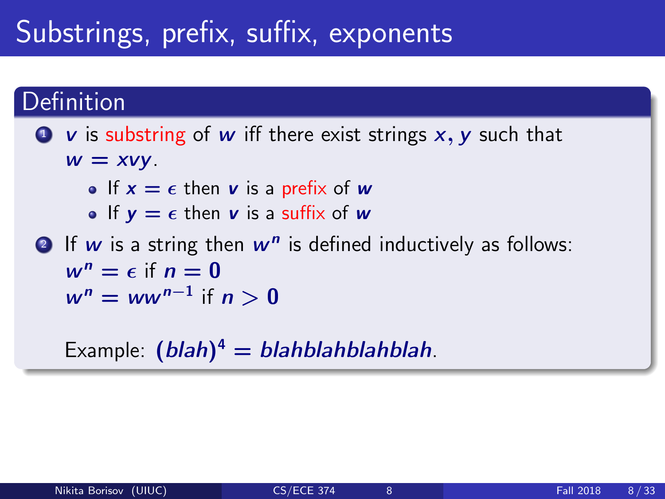### Substrings, prefix, suffix, exponents

#### Definition

#### $\bullet\mathbf{v}$  is substring of w iff there exist strings  $x, y$  such that  $w = xvy$ .

- If  $x = \epsilon$  then v is a prefix of w
- If  $y = \epsilon$  then v is a suffix of w
- **2** If  $w$  is a string then  $w^n$  is defined inductively as follows:  $w^n = \epsilon$  if  $n = 0$  $w^n = ww^{n-1}$  if  $n > 0$

Example:  $(blah)^4 = blahblahblahblah$ .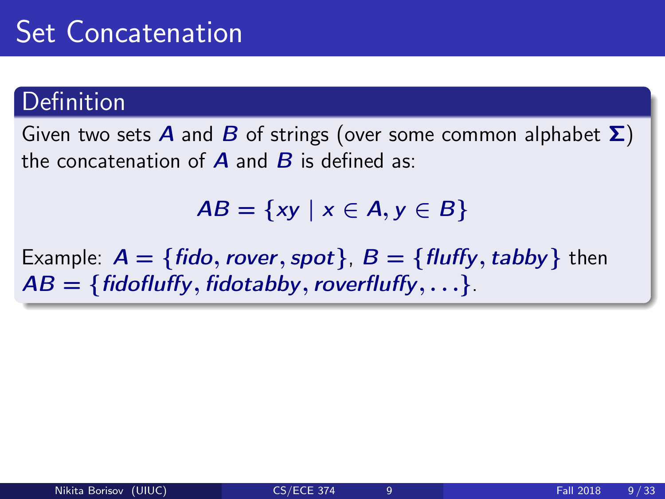#### Definition

Given two sets **A** and **B** of strings (over some common alphabet  $\Sigma$ ) the concatenation of  $\bf{A}$  and  $\bf{B}$  is defined as:

 $AB = \{xy \mid x \in A, y \in B\}$ 

Example:  $A = \{fido, rover, spot\}$ ,  $B = \{fluffy, tabby\}$  then  $AB = \{fiodfulffy, fidotabby, roverfluffy, \ldots\}.$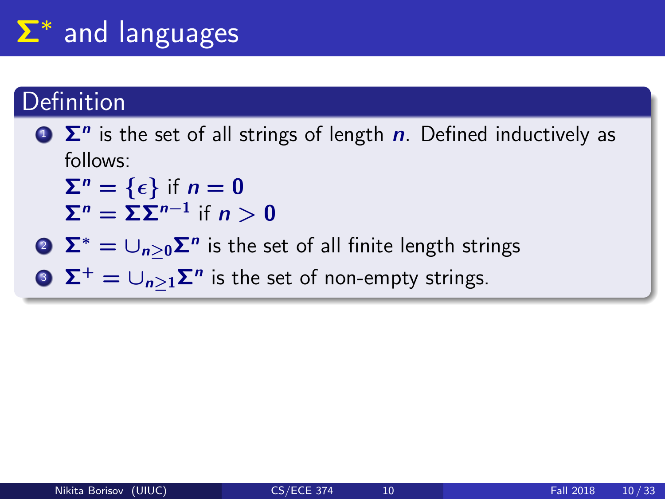## Σ<sup>∗</sup> and languages

#### Definition

 $\sum$   $\sum$ <sup>n</sup> is the set of all strings of length n. Defined inductively as follows:

 $\Sigma^n = \{\epsilon\}$  if  $n = 0$  $\Sigma^n = \Sigma \Sigma^{n-1}$  if  $n > 0$ 

 $\sum^* = \cup_{n\geq 0} \mathsf{\Sigma}^n$  is the set of all finite length strings

3  $\Sigma^+ = \cup_{n \geq 1} \Sigma^n$  is the set of non-empty strings.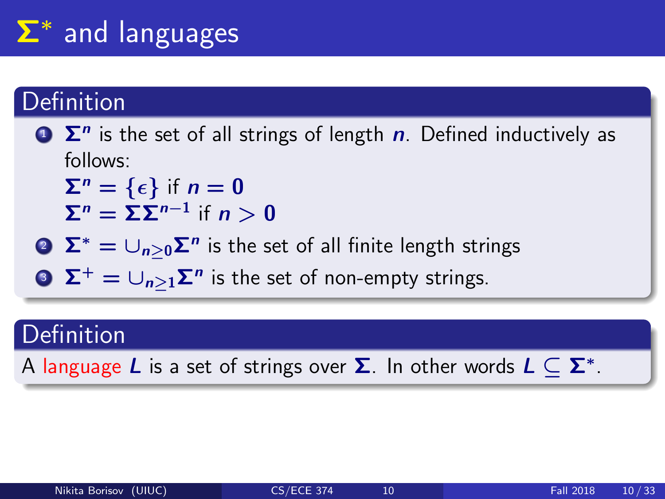## Σ<sup>∗</sup> and languages

#### Definition

 $\sum$   $\sum$ <sup>n</sup> is the set of all strings of length n. Defined inductively as follows:

 $\Sigma^n = \{\epsilon\}$  if  $n = 0$  $\Sigma^n = \Sigma \Sigma^{n-1}$  if  $n > 0$ 

 $\sum^* = \cup_{n\geq 0} \mathsf{\Sigma}^n$  is the set of all finite length strings

3  $\Sigma^+ = \cup_{n \geq 1} \Sigma^n$  is the set of non-empty strings.

### **Definition**

A language  $L$  is a set of strings over  $\boldsymbol{\Sigma}$ . In other words  $L \subseteq \boldsymbol{\Sigma}^*$ .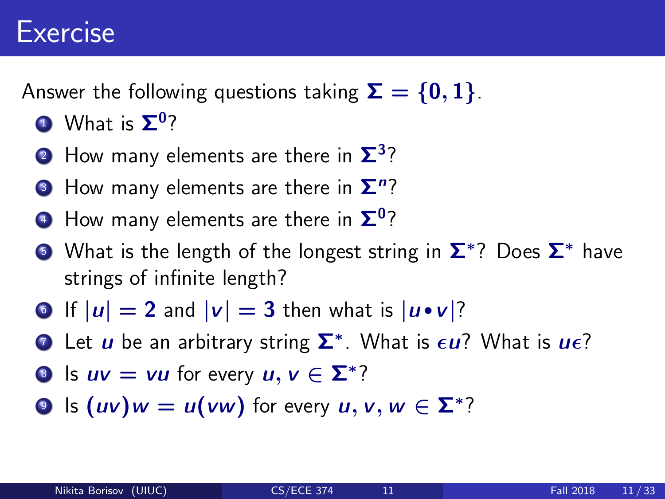### Exercise

Answer the following questions taking  $\Sigma = \{0, 1\}$ .

- $\mathbf 1$  What is  $\mathbf \Sigma^0$ ?
- $\mathbf{2}$  How many elements are there in  $\mathbf{\Sigma}^3$ ?
- $\bullet$  How many elements are there in  $\mathbf{\Sigma}^n?$
- $\bullet$  How many elements are there in  $\mathbf{\Sigma}^{0}$ ?
- $\bullet$  What is the length of the longest string in  $\mathbf{\Sigma}^*$ ? Does  $\mathbf{\Sigma}^*$  have strings of infinite length?
- If  $|u| = 2$  and  $|v| = 3$  then what is  $|u \cdot v|$ ?
- **7** Let  $u$  be an arbitrary string  $\Sigma^*$ . What is  $\epsilon u$ ? What is  $u\epsilon$ ?
- **8** Is  $uv = vu$  for every  $u, v \in \Sigma^*$ ?
- **9** Is  $(uv)w = u(vw)$  for every  $u, v, w \in \Sigma^*$ ?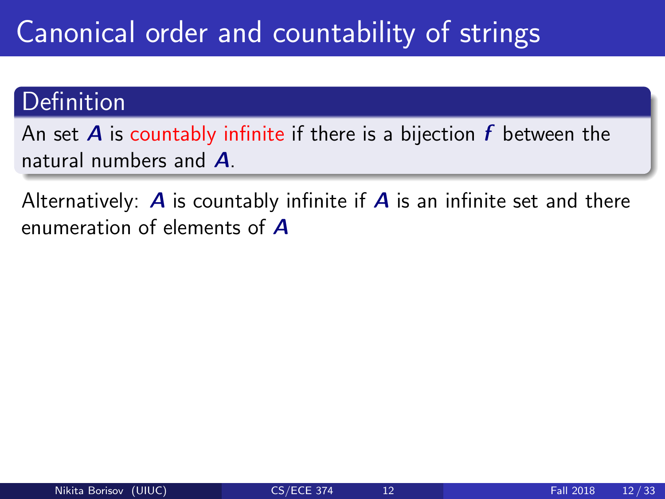## Canonical order and countability of strings

#### **Definition**

An set  $\bm{A}$  is countably infinite if there is a bijection  $\bm{f}$  between the natural numbers and A.

Alternatively:  $\bm{A}$  is countably infinite if  $\bm{A}$  is an infinite set and there enumeration of elements of A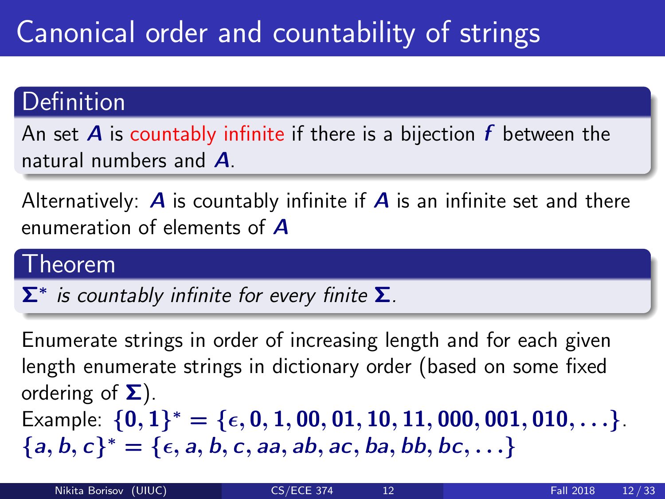## Canonical order and countability of strings

#### Definition

An set **A** is countably infinite if there is a bijection  $f$  between the natural numbers and A.

Alternatively:  $\bm{A}$  is countably infinite if  $\bm{A}$  is an infinite set and there enumeration of elements of A

#### Theorem

 $\Sigma^*$  is countably infinite for every finite  $\Sigma$ .

Enumerate strings in order of increasing length and for each given length enumerate strings in dictionary order (based on some fixed ordering of  $\Sigma$ ). Example:  $\{0,1\}^* = \{\epsilon, 0, 1, 00, 01, 10, 11, 000, 001, 010, \ldots\}$ .  ${a, b, c}^* = {\epsilon, a, b, c, aa, ab, ac, ba, bb, bc, ...}$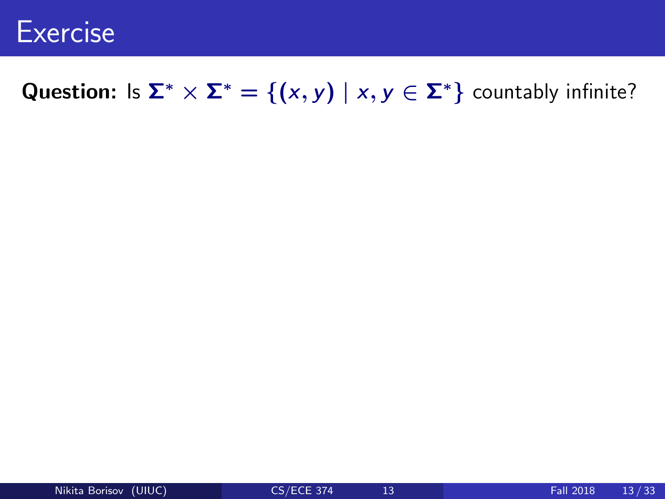

#### Question: Is  $\Sigma^* \times \Sigma^* = \{(x, y) \mid x, y \in \Sigma^*\}$  countably infinite?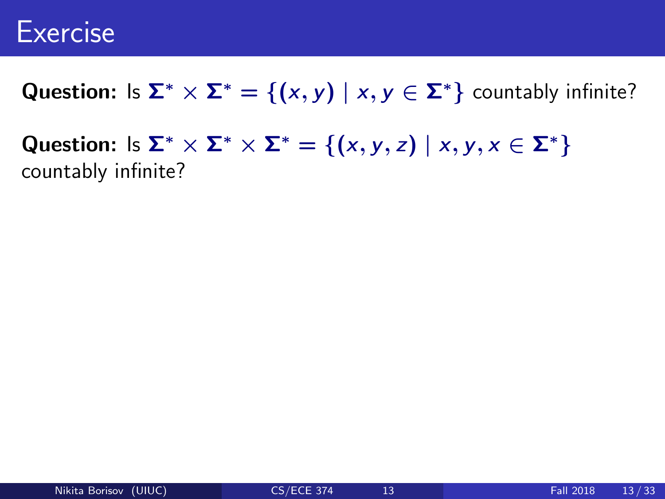### **Exercise**

Question: Is  $\Sigma^* \times \Sigma^* = \{(x, y) \mid x, y \in \Sigma^*\}$  countably infinite?

Question: Is  $\Sigma^* \times \Sigma^* \times \Sigma^* = \{(x, y, z) \mid x, y, x \in \Sigma^*\}$ countably infinite?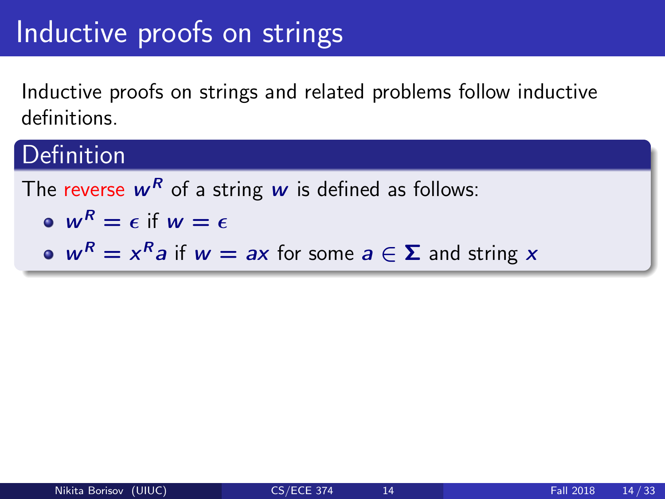### Inductive proofs on strings

Inductive proofs on strings and related problems follow inductive definitions.

### **Definition**

The reverse  $w^R$  of a string w is defined as follows:  $\omega W^R = \epsilon$  if  $w = \epsilon$  $w^R = x^R a$  if  $w = ax$  for some  $a \in \Sigma$  and string x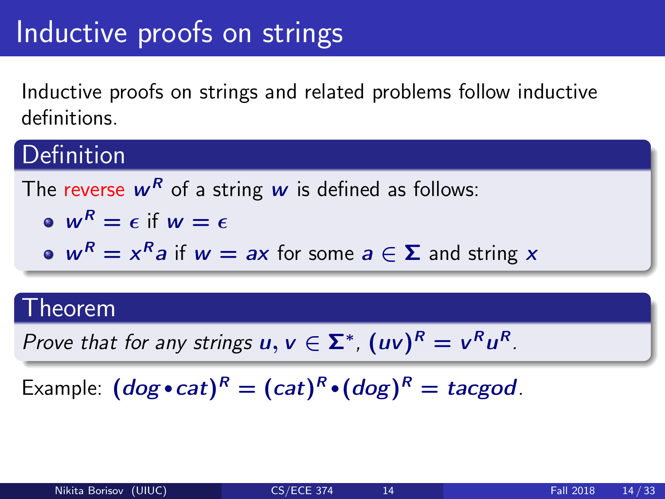### Inductive proofs on strings

Inductive proofs on strings and related problems follow inductive definitions.

### Definition

The reverse 
$$
w^R
$$
 of a string  $w$  is defined as follows:  
\n•  $w^R = \epsilon$  if  $w = \epsilon$ 

• 
$$
w^R = x^R a
$$
 if  $w = ax$  for some  $a \in \Sigma$  and string x

#### Theorem

Prove that for any strings  $u, v \in \Sigma^*$ ,  $(uv)^R = v^Ru^R$ .

Example:  $(dog \cdot cat)^R = (cat)^R \cdot (dog)^R = tacgod$ .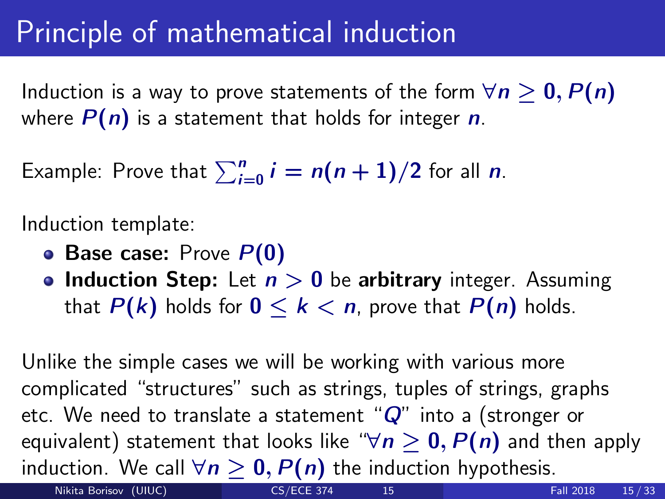### Principle of mathematical induction

Induction is a way to prove statements of the form  $\forall n \geq 0, P(n)$ where  $P(n)$  is a statement that holds for integer n.

Example: Prove that  $\sum_{i=0}^n i = n(n+1)/2$  for all  $n$ .

Induction template:

- Base case: Prove  $P(0)$
- Induction Step: Let  $n > 0$  be arbitrary integer. Assuming that  $P(k)$  holds for  $0 \le k \le n$ , prove that  $P(n)$  holds.

Unlike the simple cases we will be working with various more complicated "structures" such as strings, tuples of strings, graphs etc. We need to translate a statement " $Q$ " into a (stronger or equivalent) statement that looks like " $\forall n \geq 0$ ,  $P(n)$  and then apply induction. We call  $\forall n \geq 0$ ,  $P(n)$  the induction hypothesis.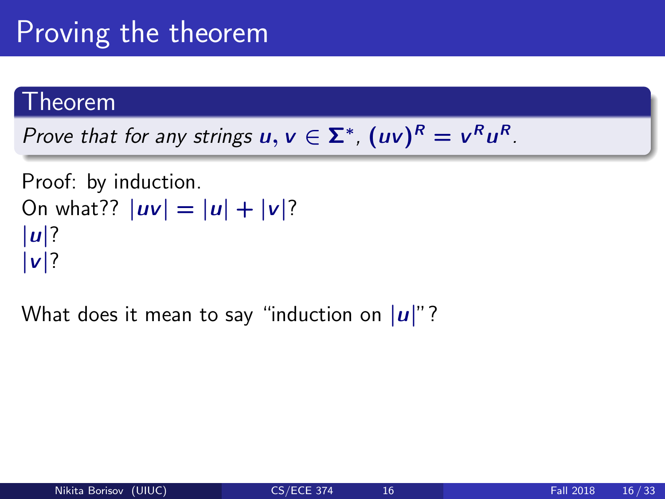### Proving the theorem

#### Theorem

Prove that for any strings  $u, v \in \Sigma^*$ ,  $(uv)^R = v^Ru^R$ .

```
Proof: by induction.
On what?? |uv| = |u| + |v|?
|u|?
|v|?
```
What does it mean to say "induction on  $|u|$ "?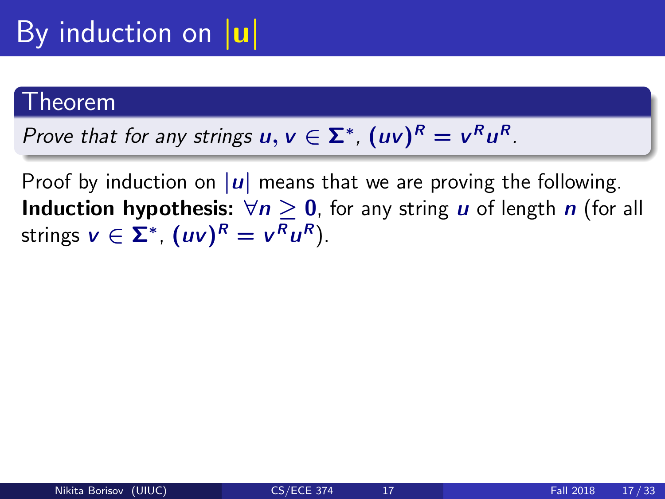## By induction on  $|u|$

#### Theorem

Prove that for any strings  $u, v \in \Sigma^*$ ,  $(uv)^R = v^Ru^R$ .

Proof by induction on  $|u|$  means that we are proving the following. **Induction hypothesis:**  $\forall n \geq 0$ , for any string *u* of length *n* (for all strings  $v \in \Sigma^*$ ,  $(uv)^R = v^Ru^R$ ).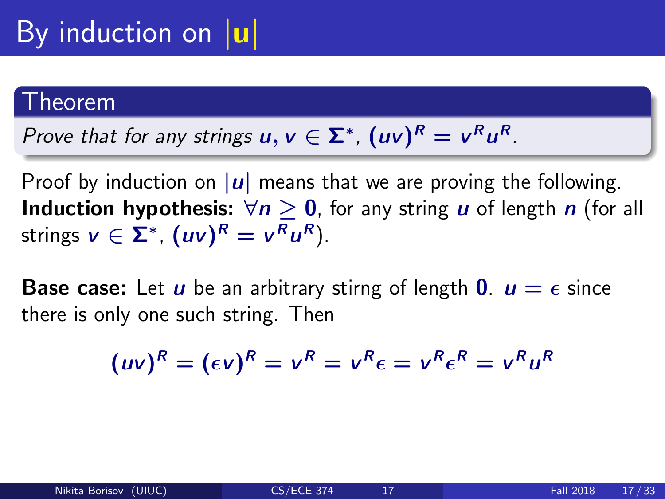#### .<br>heorem

Prove that for any strings 
$$
u, v \in \Sigma^*
$$
,  $(uv)^R = v^R u^R$ .

Proof by induction on  $|u|$  means that we are proving the following. **Induction hypothesis:**  $\forall n \geq 0$ , for any string *u* of length *n* (for all strings  $v \in \Sigma^*$ ,  $(uv)^R = v^Ru^R$ ).

**Base case:** Let *u* be an arbitrary stirng of length **0**.  $u = \epsilon$  since there is only one such string. Then

$$
(uv)^R = (\epsilon v)^R = v^R = v^R \epsilon = v^R \epsilon^R = v^R u^R
$$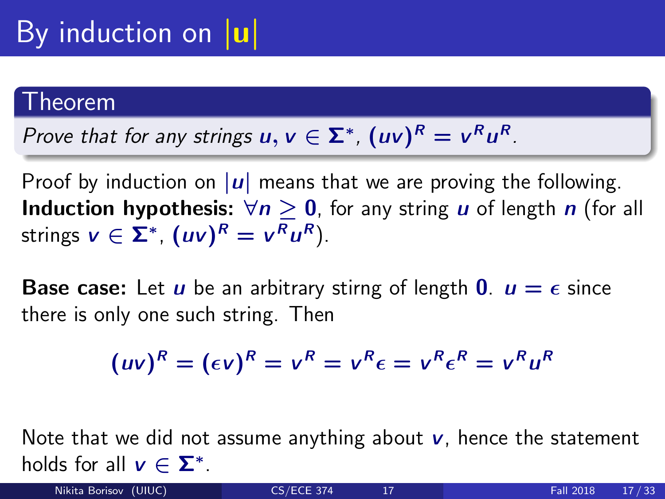#### Theorem

Prove that for any strings 
$$
u, v \in \Sigma^*
$$
,  $(uv)^R = v^R u^R$ .

Proof by induction on  $|u|$  means that we are proving the following. **Induction hypothesis:**  $\forall n \geq 0$ , for any string *u* of length *n* (for all strings  $v \in \Sigma^*$ ,  $(uv)^R = v^Ru^R$ ).

**Base case:** Let *u* be an arbitrary stirng of length **0**.  $u = \epsilon$  since there is only one such string. Then

$$
(uv)^R = (\epsilon v)^R = v^R = v^R \epsilon = v^R \epsilon^R = v^R u^R
$$

Note that we did not assume anything about  $\nu$ , hence the statement holds for all  $v \in \Sigma^*$ .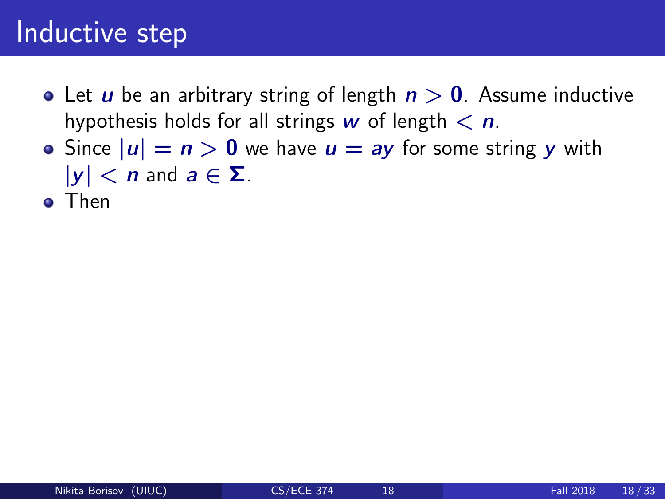- Let *u* be an arbitrary string of length  $n > 0$ . Assume inductive hypothesis holds for all strings w of length  $\langle n \rangle$ .
- Since  $|u| = n > 0$  we have  $u = ay$  for some string y with  $|y| < n$  and  $a \in \Sigma$ .
- **o** Then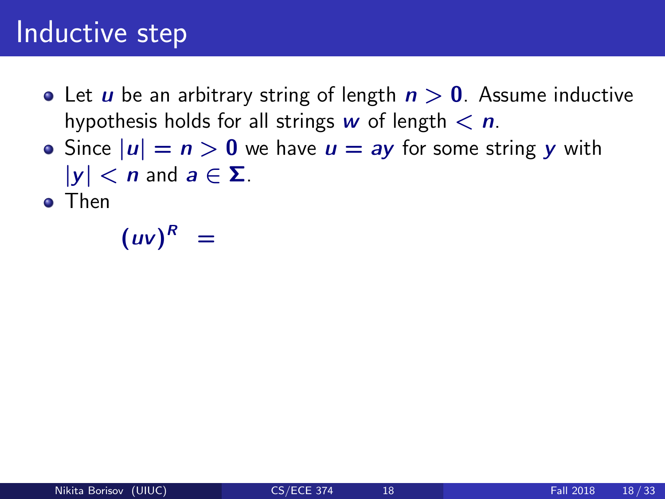- Let *u* be an arbitrary string of length  $n > 0$ . Assume inductive hypothesis holds for all strings w of length  $\langle n \rangle$ .
- Since  $|u| = n > 0$  we have  $u = ay$  for some string y with  $|y| < n$  and  $a \in \Sigma$ .
- **o** Then

 $(uv)^R =$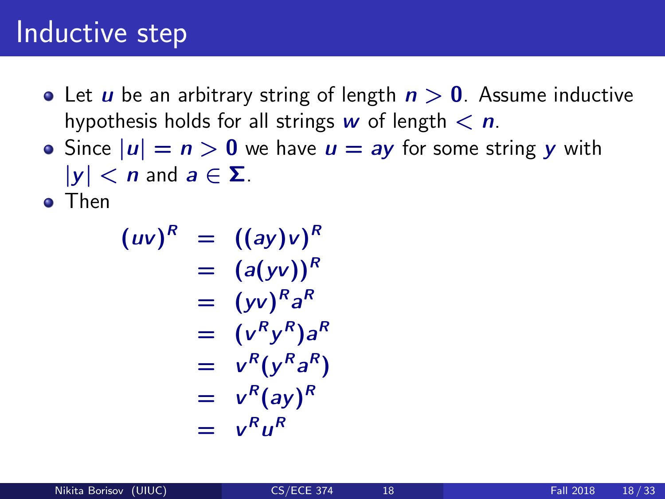- Let *u* be an arbitrary string of length  $n > 0$ . Assume inductive hypothesis holds for all strings w of length  $\langle n \rangle$ .
- Since  $|u| = n > 0$  we have  $u = ay$  for some string y with  $|y| < n$  and  $a \in \Sigma$ .

**o** Then

$$
(uv)^R = ((ay)v)^R
$$
  
=  $(a(yv))^R$   
=  $(yv)^R a^R$   
=  $(v^R y^R) a^R$   
=  $v^R (y^R a^R)$   
=  $v^R (ay)^R$   
=  $v^R u^R$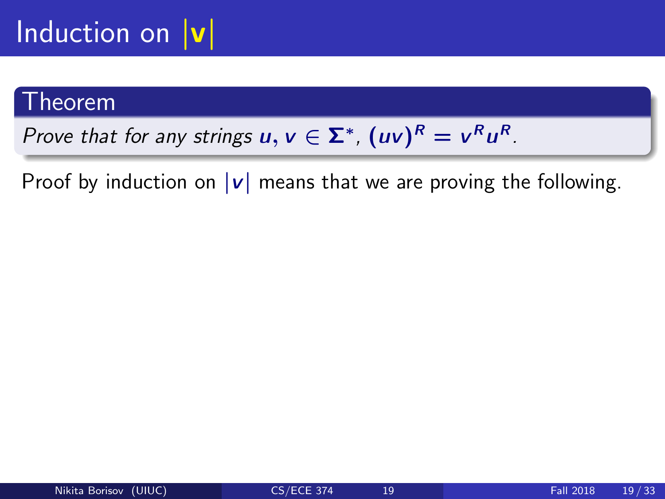## Induction on  $|v|$

#### Theorem

Prove that for any strings  $u, v \in \Sigma^*$ ,  $(uv)^R = v^Ru^R$ .

Proof by induction on  $|v|$  means that we are proving the following.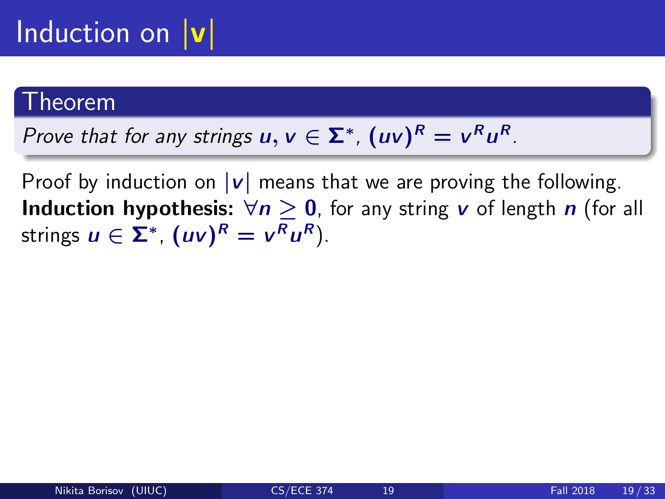## Induction on  $|v|$

#### Theorem

Prove that for any strings  $u, v \in \Sigma^*$ ,  $(uv)^R = v^Ru^R$ .

Proof by induction on  $|v|$  means that we are proving the following. **Induction hypothesis:**  $\forall n \geq 0$ , for any string v of length n (for all strings  $u \in \Sigma^*$ ,  $(uv)^R = v^Ru^R$ ).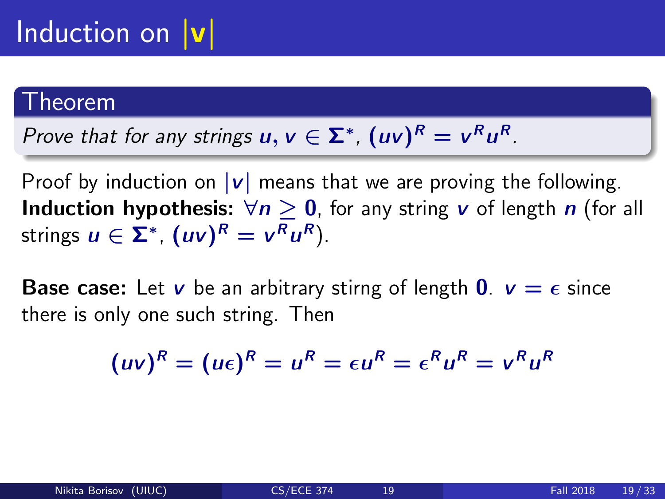## Induction on  $|v|$

#### .<br>heorem

Prove that for any strings 
$$
u, v \in \Sigma^*
$$
,  $(uv)^R = v^R u^R$ .

Proof by induction on  $|v|$  means that we are proving the following. **Induction hypothesis:**  $\forall n \geq 0$ , for any string v of length n (for all strings  $u \in \Sigma^*$ ,  $(uv)^R = v^Ru^R$ ).

**Base case:** Let v be an arbitrary stirng of length  $\mathbf{0}$ .  $v = \epsilon$  since there is only one such string. Then

$$
(uv)^R = (u\epsilon)^R = u^R = \epsilon u^R = \epsilon^R u^R = v^R u^R
$$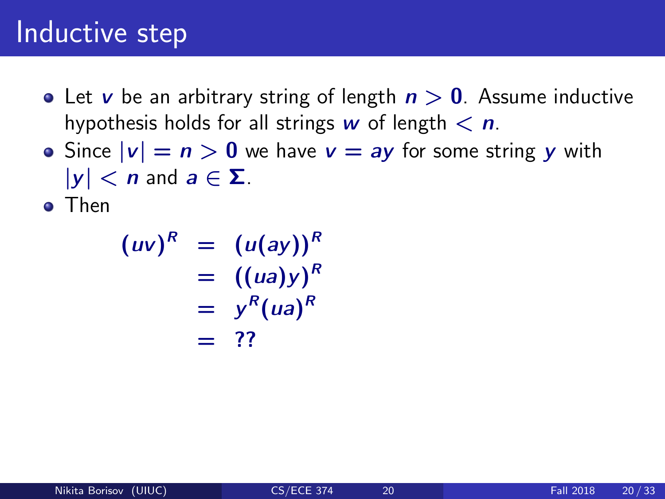- Let v be an arbitrary string of length  $n > 0$ . Assume inductive hypothesis holds for all strings w of length  $\langle n \rangle$ .
- Since  $|v| = n > 0$  we have  $v = ay$  for some string y with  $|y| < n$  and  $a \in \Sigma$ .
- **o** Then

$$
(uv)^R = (u(ay))^R
$$
  
= ((ua)y)<sup>R</sup>  
= y<sup>R</sup>(ua)<sup>R</sup>  
= ??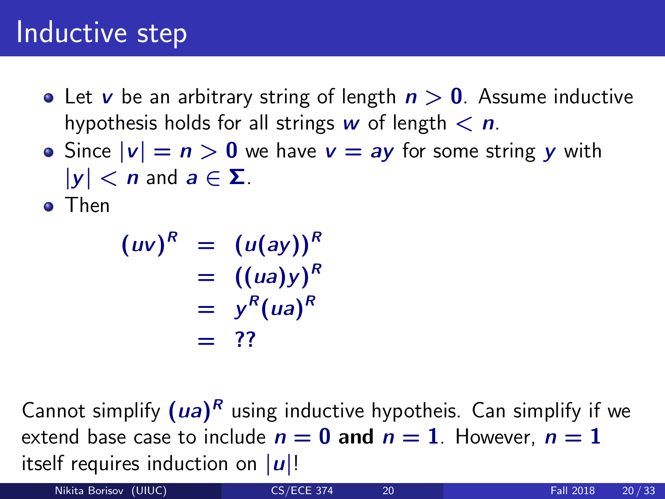- Let v be an arbitrary string of length  $n > 0$ . Assume inductive hypothesis holds for all strings w of length  $\langle n \rangle$ .
- Since  $|v| = n > 0$  we have  $v = ay$  for some string y with  $|y| < n$  and  $a \in \Sigma$ .
- **o** Then

$$
(uv)^R = (u(ay))^R
$$
  
= ((ua)y)<sup>R</sup>  
= y<sup>R</sup>(ua)<sup>R</sup>  
= ??

Cannot simplify  $(ua)^R$  using inductive hypotheis. Can simplify if we extend base case to include  $n = 0$  and  $n = 1$ . However,  $n = 1$ itself requires induction on  $|u|!$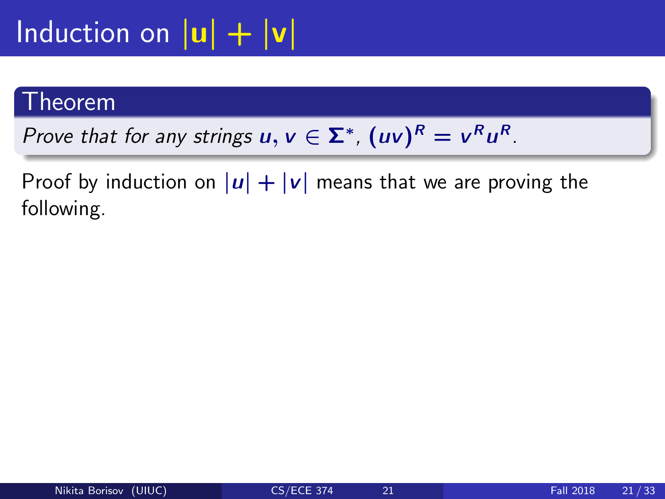#### Theorem

Prove that for any strings  $u, v \in \Sigma^*$ ,  $(uv)^R = v^Ru^R$ .

Proof by induction on  $|u| + |v|$  means that we are proving the following.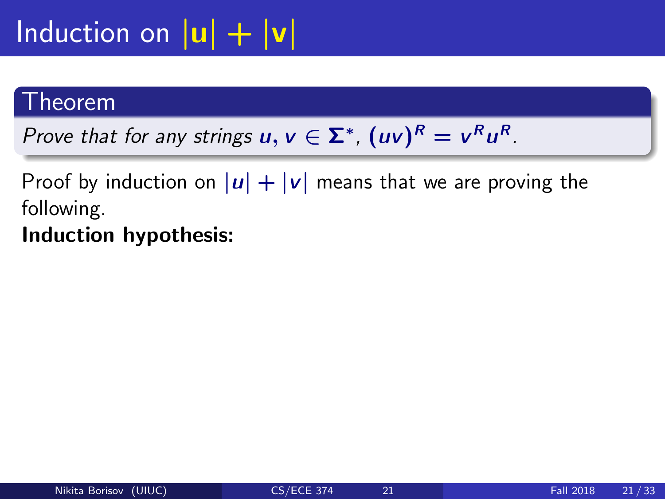## Induction on  $|\mathbf{u}| + |\mathbf{v}|$

#### Theorem

Prove that for any strings  $u, v \in \Sigma^*$ ,  $(uv)^R = v^Ru^R$ .

Proof by induction on  $|u| + |v|$  means that we are proving the following.

Induction hypothesis: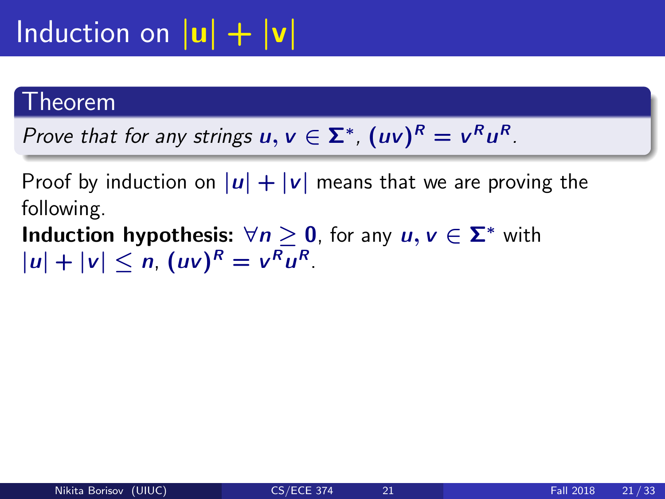#### Theorem

Prove that for any strings  $u, v \in \Sigma^*$ ,  $(uv)^R = v^Ru^R$ .

Proof by induction on  $|u| + |v|$  means that we are proving the following.

**Induction hypothesis:**  $\forall n \geq 0$ , for any  $u, v \in \Sigma^*$  with  $|u| + |v| \le n$ ,  $(uv)^R = v^R u^R$ .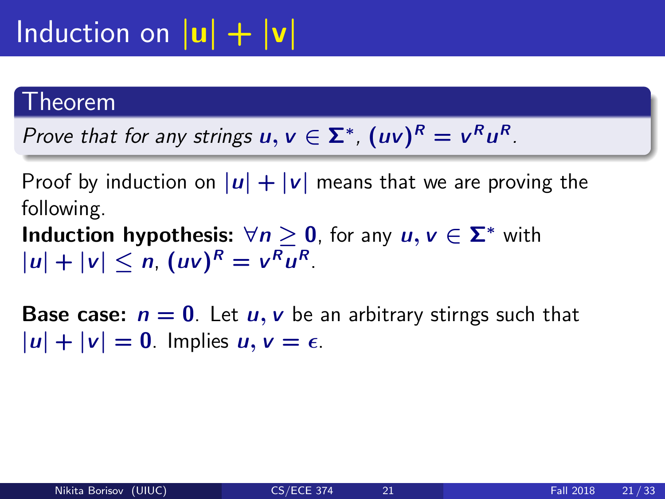#### Theorem

Prove that for any strings  $u, v \in \Sigma^*$ ,  $(uv)^R = v^Ru^R$ .

Proof by induction on  $|u| + |v|$  means that we are proving the following.

**Induction hypothesis:**  $\forall n \geq 0$ , for any  $u, v \in \Sigma^*$  with  $|u| + |v| \le n$ ,  $(uv)^R = v^R u^R$ .

**Base case:**  $n = 0$ . Let  $u, v$  be an arbitrary stirngs such that  $|u| + |v| = 0$ . Implies  $u, v = \epsilon$ .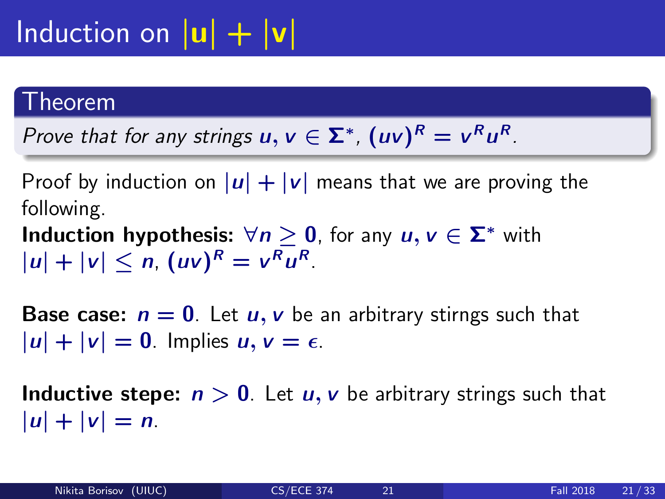#### Theorem

Prove that for any strings  $u, v \in \Sigma^*$ ,  $(uv)^R = v^Ru^R$ .

Proof by induction on  $|u| + |v|$  means that we are proving the following.

**Induction hypothesis:**  $\forall n \geq 0$ , for any  $u, v \in \Sigma^*$  with  $|u| + |v| \le n$ ,  $(uv)^R = v^R u^R$ .

**Base case:**  $n = 0$ . Let  $u, v$  be an arbitrary stirngs such that  $|u| + |v| = 0$ . Implies  $u, v = \epsilon$ .

**Inductive stepe:**  $n > 0$ . Let  $u, v$  be arbitrary strings such that  $|u| + |v| = n$ .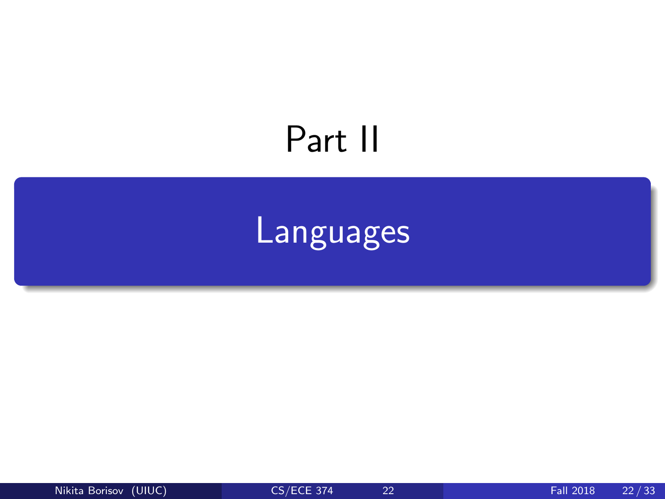## <span id="page-36-0"></span>Part II

## [Languages](#page-36-0)

Nikita Borisov (UIUC) [CS/ECE 374](#page-0-0) 22 Fall 2018 22/33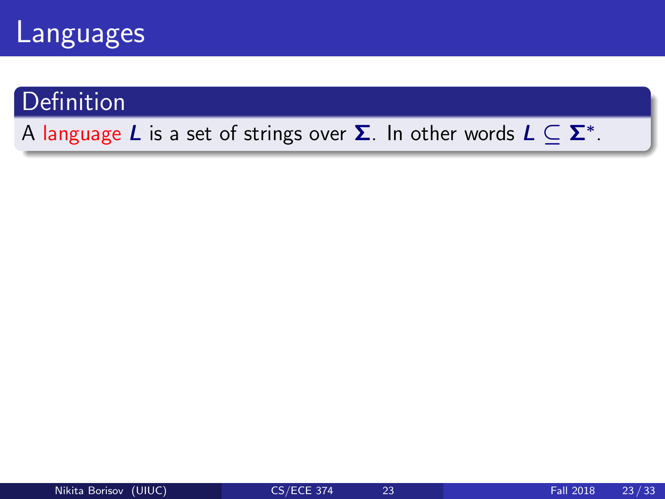

#### **Definition**

#### A language  $L$  is a set of strings over  $\boldsymbol{\Sigma}.$  In other words  $L \subseteq \boldsymbol{\Sigma}^*.$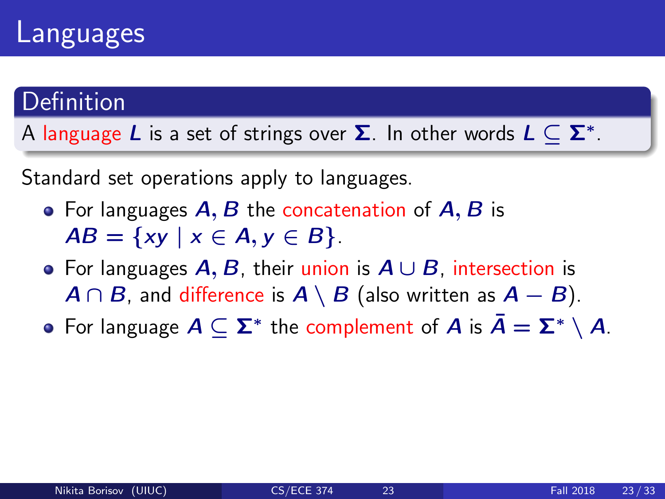### Languages

#### Definition

A language  $L$  is a set of strings over  $\boldsymbol{\Sigma}.$  In other words  $L \subseteq \boldsymbol{\Sigma}^*.$ 

Standard set operations apply to languages.

- For languages  $A, B$  the concatenation of  $A, B$  is  $AB = \{xy \mid x \in A, y \in B\}.$
- For languages  $A, B$ , their union is  $A \cup B$ , intersection is  $A \cap B$ , and difference is  $A \setminus B$  (also written as  $A - B$ ).
- For language  $A \subseteq \Sigma^*$  the complement of  $A$  is  $\bar{A} = \Sigma^* \setminus A$ .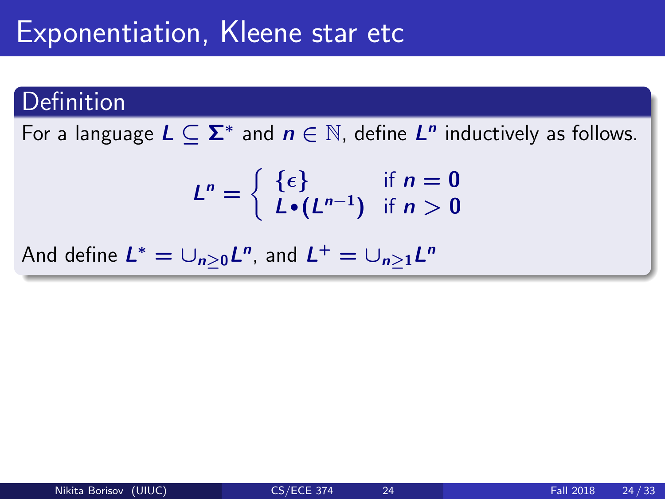### Exponentiation, Kleene star etc

#### Definition

For a language  $L \subseteq \Sigma^*$  and  $n \in \mathbb{N}$ , define  $L^n$  inductively as follows.

$$
L^n = \left\{ \begin{array}{ll} \{ \epsilon \} & \text{if } n = 0 \\ L \bullet (L^{n-1}) & \text{if } n > 0 \end{array} \right.
$$

And define  $L^* = \cup_{n\geq 0} L^n$ , and  $L^+ = \cup_{n\geq 1} L^n$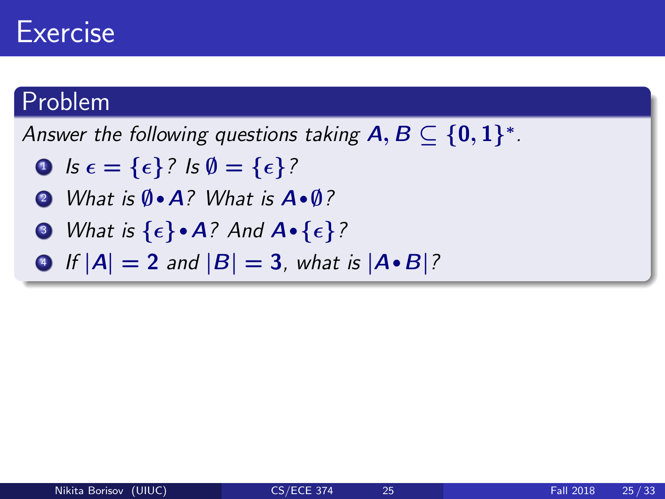### Exercise

#### Problem

Answer the following questions taking  $\textsf{A},\textsf{B}\subseteq\{\textsf{0},\textsf{1}\}^*$  .

- **0**  $\mathbf{1} \mathbf{s} \mathbf{\epsilon} = {\mathbf{\epsilon}} {\mathbf{3}}$ ?  $\mathbf{s} \mathbf{\emptyset} = {\mathbf{\epsilon}} {\mathbf{3}}$ ?
- <sup>2</sup> What is ∅·<sup>A</sup>? What is <sup>A</sup>·∅?
- $\bullet$  What is  $\{\epsilon\}\bullet A$ ? And  $A\bullet \{\epsilon\}$ ?
- If  $|A| = 2$  and  $|B| = 3$ , what is  $|A \cdot B|$ ?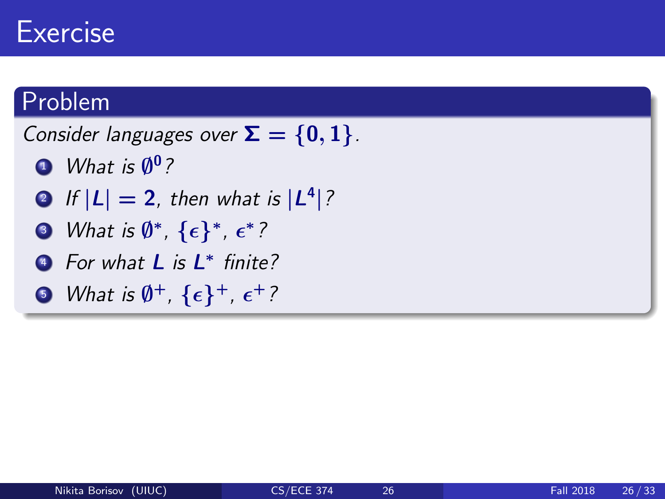### **Exercise**

#### Problem

Consider languages over  $\Sigma = \{0, 1\}$ .

- $\blacksquare$  What is  $\emptyset^0$  ?
- $2$  If  $|L| = 2$ , then what is  $|L^4|$  ?
- $\bullet$  What is  $\emptyset^*, \, \{\epsilon\}^*, \, \epsilon^*$  ?
- <sup>4</sup> For what **L** is **L**<sup>\*</sup> finite?
- $\bullet$  What is  $\emptyset^+$ ,  $\{\epsilon\}^+$ ,  $\epsilon^+$  ?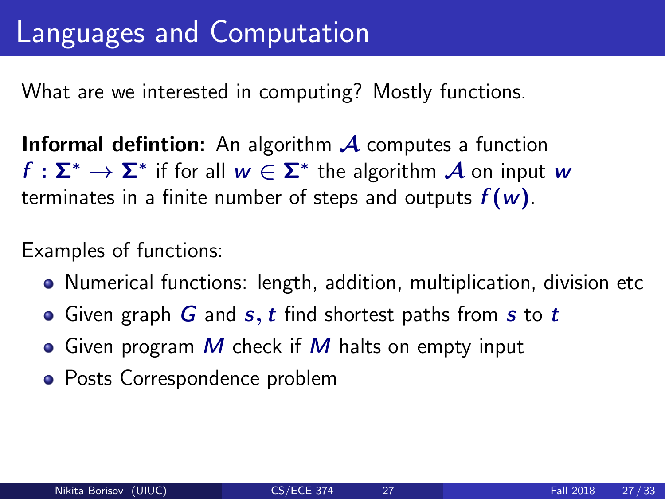What are we interested in computing? Mostly functions.

**Informal defintion:** An algorithm  $\mathcal A$  computes a function  $f:\mathsf{\Sigma}^{*}\to\mathsf{\Sigma}^{*}$  if for all  $w\in\mathsf{\Sigma}^{*}$  the algorithm  $\mathcal A$  on input  $w$ terminates in a finite number of steps and outputs  $f(w)$ .

Examples of functions:

- Numerical functions: length, addition, multiplication, division etc
- Given graph  $G$  and  $s, t$  find shortest paths from  $s$  to  $t$
- Given program  $M$  check if  $M$  halts on empty input
- Posts Correspondence problem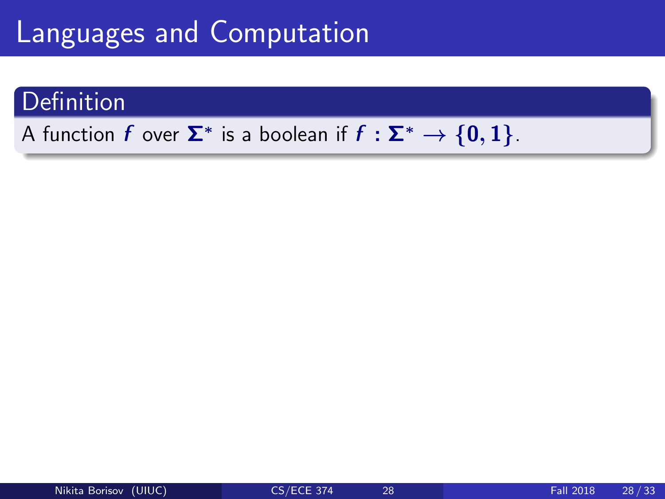#### **Definition**

#### A function  $f$  over  $\mathbf{\Sigma}^*$  is a boolean if  $f: \mathbf{\Sigma}^* \to \{ \mathbf{0}, \mathbf{1} \}.$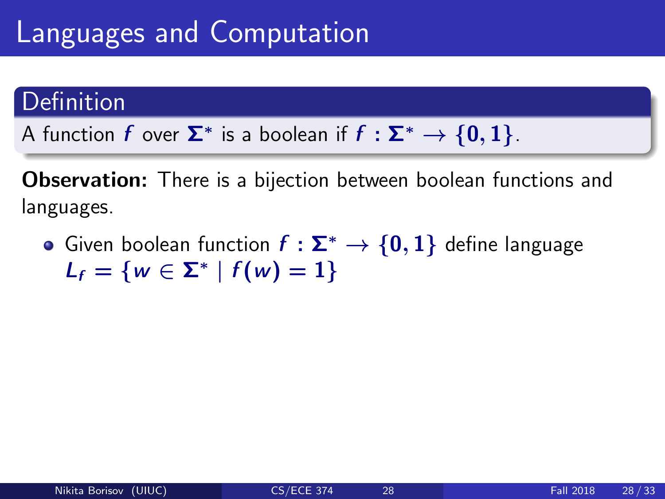#### Definition

A function  $f$  over  $\mathbf{\Sigma}^*$  is a boolean if  $f: \mathbf{\Sigma}^* \to \{ \mathbf{0}, \mathbf{1} \}.$ 

Observation: There is a bijection between boolean functions and languages.

• Given boolean function  $f : \Sigma^* \to \{0,1\}$  define language  $L_f = \{ w \in \Sigma^* \mid f(w) = 1 \}$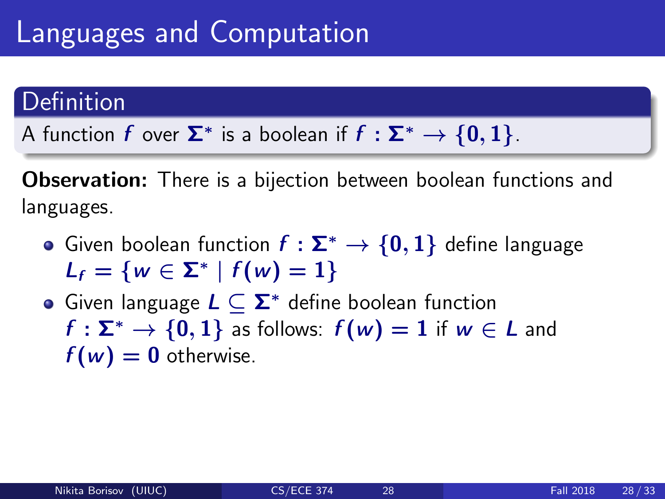#### Definition

A function  $f$  over  $\mathbf{\Sigma}^*$  is a boolean if  $f: \mathbf{\Sigma}^* \to \{ \mathbf{0}, \mathbf{1} \}.$ 

**Observation:** There is a bijection between boolean functions and languages.

- Given boolean function  $f : \Sigma^* \to \{0,1\}$  define language  $L_f = \{ w \in \Sigma^* \mid f(w) = 1 \}$
- Given language  $L \subset \Sigma^*$  define boolean function  $f : \Sigma^* \to \{0, 1\}$  as follows:  $f(w) = 1$  if  $w \in L$  and  $f(w) = 0$  otherwise.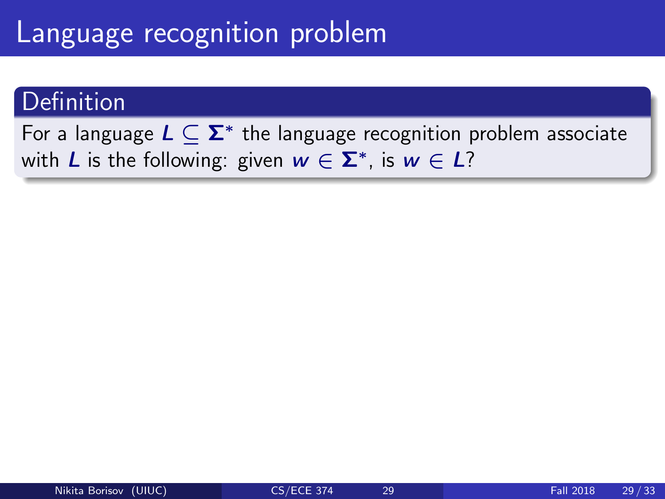### Language recognition problem

#### Definition

For a language  $L \subseteq \mathbf{\Sigma}^*$  the language recognition problem associate with  $L$  is the following: given  $w \in \Sigma^*$ , is  $w \in L$ ?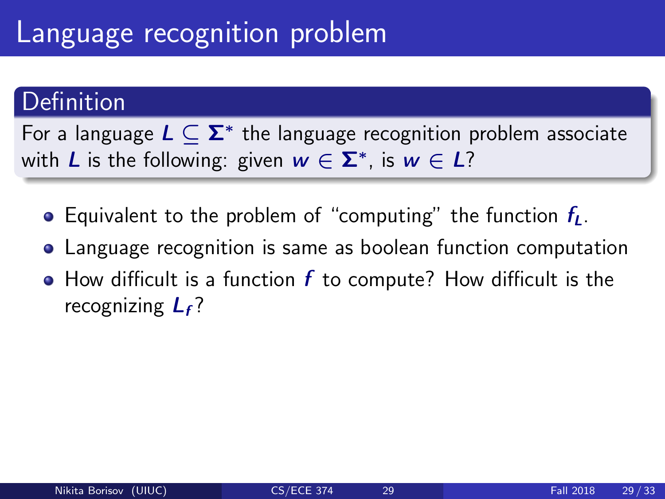### Language recognition problem

#### Definition

For a language  $L \subseteq \mathbf{\Sigma}^*$  the language recognition problem associate with  $L$  is the following: given  $w \in \Sigma^*$ , is  $w \in L$ ?

- **•** Equivalent to the problem of "computing" the function  $f_L$ .
- Language recognition is same as boolean function computation
- $\bullet$  How difficult is a function  $f$  to compute? How difficult is the recognizing  $L_f$ ?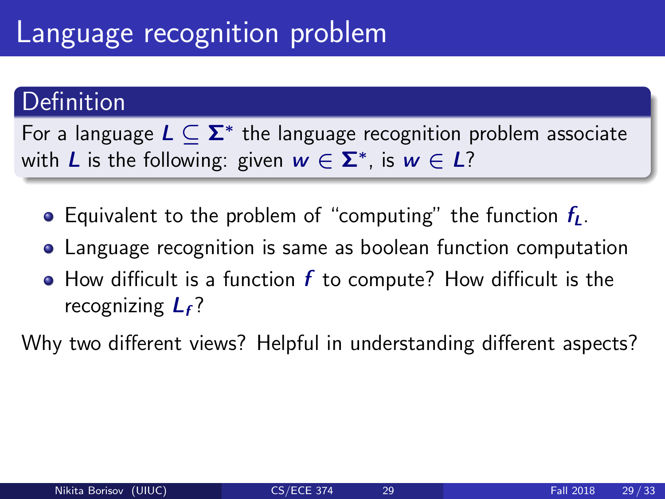### Language recognition problem

#### Definition

For a language  $L \subseteq \mathbf{\Sigma}^*$  the language recognition problem associate with  $L$  is the following: given  $w \in \Sigma^*$ , is  $w \in L$ ?

- **•** Equivalent to the problem of "computing" the function  $f_L$ .
- Language recognition is same as boolean function computation
- $\bullet$  How difficult is a function  $f$  to compute? How difficult is the recognizing  $L_f$ ?

Why two different views? Helpful in understanding different aspects?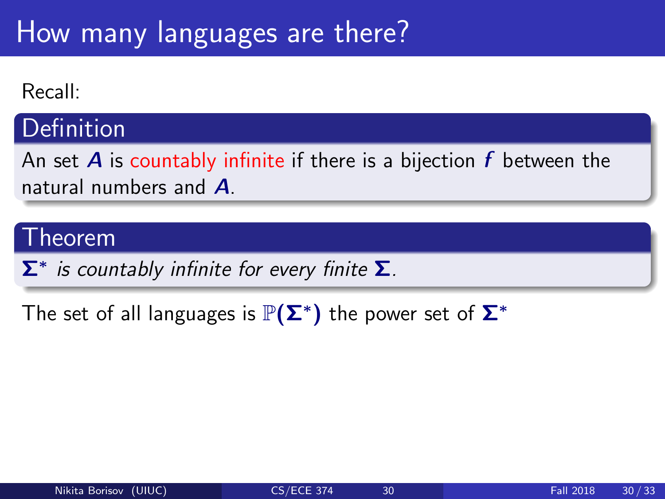#### Recall:

#### **Definition**

An set **A** is countably infinite if there is a bijection  $f$  between the natural numbers and A.

#### Theorem

 $\mathbf{\Sigma}^{*}$  is countably infinite for every finite  $\mathbf{\Sigma}$ .

The set of all languages is  $\mathbb{P}(\mathsf{\Sigma}^{*})$  the power set of  $\mathsf{\Sigma}^{*}$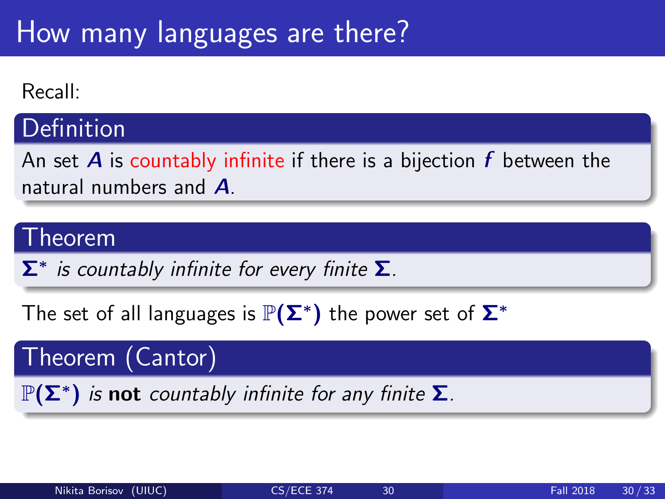#### Recall:

#### **Definition**

An set **A** is countably infinite if there is a bijection  $f$  between the natural numbers and **A** 

#### Theorem

 $\mathbf{\Sigma}^{*}$  is countably infinite for every finite  $\mathbf{\Sigma}$ .

The set of all languages is  $\mathbb{P}(\mathsf{\Sigma}^{*})$  the power set of  $\mathsf{\Sigma}^{*}$ 

Theorem (Cantor)

 $\mathbb{P}(\mathsf{\Sigma}^*)$  is not countably infinite for any finite  $\mathsf{\Sigma}$ .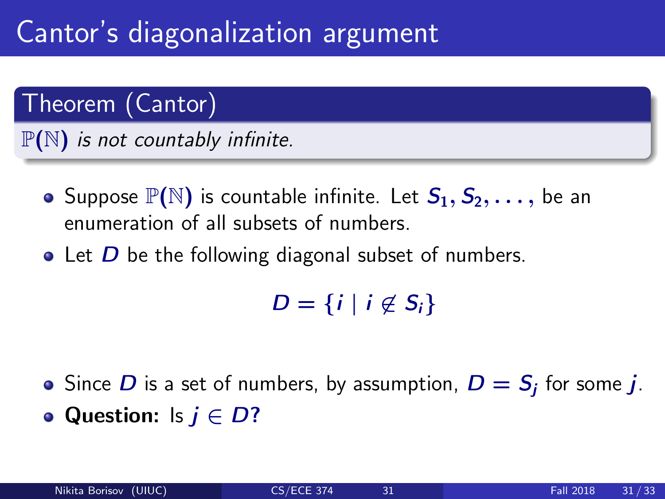## Cantor's diagonalization argument

### Theorem (Cantor)

 $\mathbb{P}(N)$  is not countably infinite.

- Suppose  $\mathbb{P}(\mathbb{N})$  is countable infinite. Let  $S_1, S_2, \ldots$ , be an enumeration of all subsets of numbers.
- $\bullet$  Let  $D$  be the following diagonal subset of numbers.

 $D = \{i \mid i \notin S_i\}$ 

Since  $D$  is a set of numbers, by assumption,  $D = S_j$  for some  $j$ . • Question: Is  $j \in D$ ?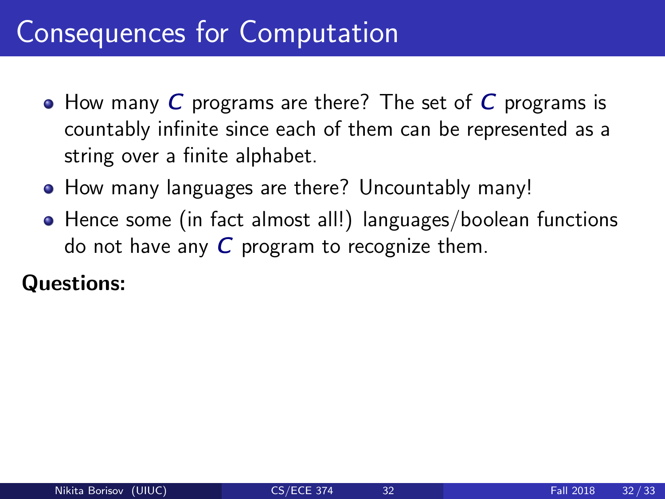### Consequences for Computation

- How many C programs are there? The set of C programs is countably infinite since each of them can be represented as a string over a finite alphabet.
- How many languages are there? Uncountably many!
- Hence some (in fact almost all!) languages/boolean functions do not have any  $C$  program to recognize them.

#### Questions: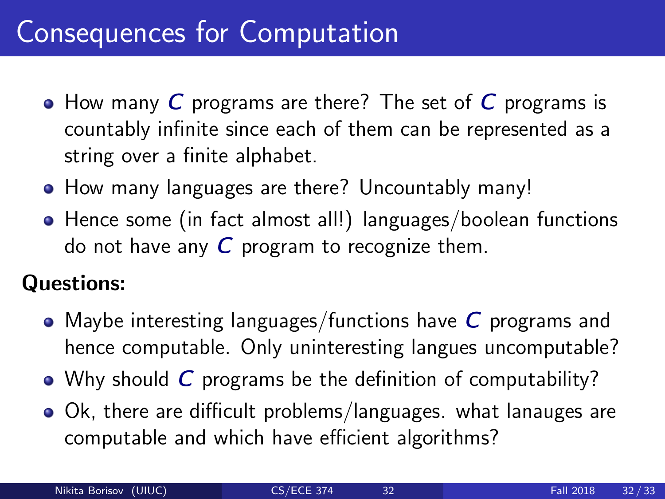### Consequences for Computation

- $\bullet$  How many C programs are there? The set of C programs is countably infinite since each of them can be represented as a string over a finite alphabet.
- How many languages are there? Uncountably many!
- Hence some (in fact almost all!) languages/boolean functions do not have any  $C$  program to recognize them.

#### Questions:

- Maybe interesting languages/functions have  $C$  programs and hence computable. Only uninteresting langues uncomputable?
- Why should C programs be the definition of computability?
- Ok, there are difficult problems/languages. what lanauges are computable and which have efficient algorithms?